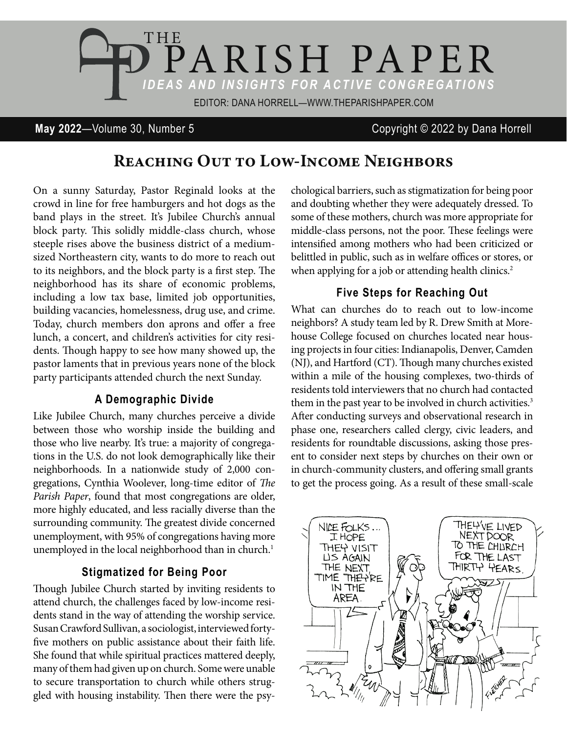

## **May 2022**—Volume 30, Number 5 Copyright © 2022 by Dana Horrell

# REACHING OUT TO LOW-INCOME NEIGHBORS

On a sunny Saturday, Pastor Reginald looks at the crowd in line for free hamburgers and hot dogs as the band plays in the street. It's Jubilee Church's annual block party. This solidly middle-class church, whose steeple rises above the business district of a mediumsized Northeastern city, wants to do more to reach out to its neighbors, and the block party is a first step. The neighborhood has its share of economic problems, including a low tax base, limited job opportunities, building vacancies, homelessness, drug use, and crime. Today, church members don aprons and offer a free lunch, a concert, and children's activities for city residents. Though happy to see how many showed up, the pastor laments that in previous years none of the block party participants attended church the next Sunday.

#### **A Demographic Divide**

Like Jubilee Church, many churches perceive a divide between those who worship inside the building and those who live nearby. It's true: a majority of congregations in the U.S. do not look demographically like their neighborhoods. In a nationwide study of 2,000 congregations, Cynthia Woolever, long-time editor of *The Parish Paper*, found that most congregations are older, more highly educated, and less racially diverse than the surrounding community. The greatest divide concerned unemployment, with 95% of congregations having more unemployed in the local neighborhood than in church.<sup>1</sup>

#### **Stigmatized for Being Poor**

Though Jubilee Church started by inviting residents to attend church, the challenges faced by low-income residents stand in the way of attending the worship service. Susan Crawford Sullivan, a sociologist, interviewed forty five mothers on public assistance about their faith life. She found that while spiritual practices mattered deeply, many of them had given up on church. Some were unable to secure transportation to church while others struggled with housing instability. Then there were the psychological barriers, such as stigmatization for being poor and doubting whether they were adequately dressed. To some of these mothers, church was more appropriate for middle-class persons, not the poor. These feelings were intensified among mothers who had been criticized or belittled in public, such as in welfare offices or stores, or when applying for a job or attending health clinics.<sup>2</sup>

### **Five Steps for Reaching Out**

What can churches do to reach out to low-income neighbors? A study team led by R. Drew Smith at Morehouse College focused on churches located near housing projects in four cities: Indianapolis, Denver, Camden (NJ), and Hartford (CT). Though many churches existed within a mile of the housing complexes, two-thirds of residents told interviewers that no church had contacted them in the past year to be involved in church activities.<sup>3</sup> After conducting surveys and observational research in phase one, researchers called clergy, civic leaders, and residents for roundtable discussions, asking those present to consider next steps by churches on their own or in church-community clusters, and offering small grants to get the process going. As a result of these small-scale